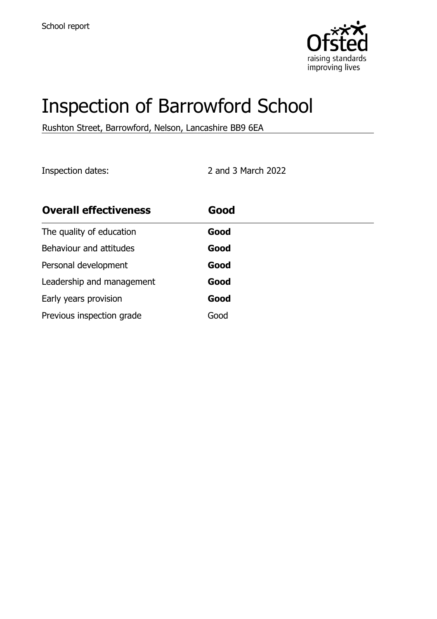

# Inspection of Barrowford School

Rushton Street, Barrowford, Nelson, Lancashire BB9 6EA

Inspection dates: 2 and 3 March 2022

| <b>Overall effectiveness</b> | Good |
|------------------------------|------|
| The quality of education     | Good |
| Behaviour and attitudes      | Good |
| Personal development         | Good |
| Leadership and management    | Good |
| Early years provision        | Good |
| Previous inspection grade    | Good |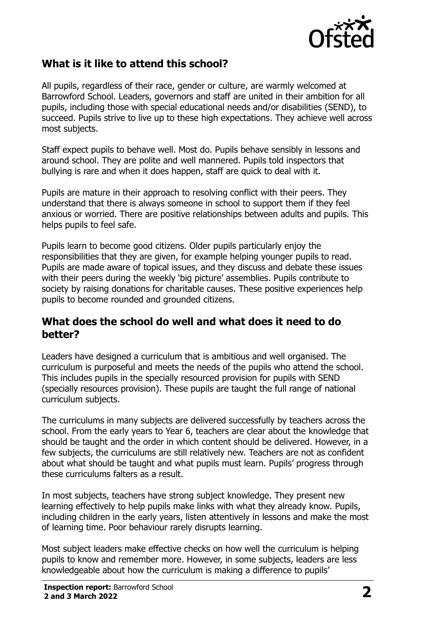

## **What is it like to attend this school?**

All pupils, regardless of their race, gender or culture, are warmly welcomed at Barrowford School. Leaders, governors and staff are united in their ambition for all pupils, including those with special educational needs and/or disabilities (SEND), to succeed. Pupils strive to live up to these high expectations. They achieve well across most subjects.

Staff expect pupils to behave well. Most do. Pupils behave sensibly in lessons and around school. They are polite and well mannered. Pupils told inspectors that bullying is rare and when it does happen, staff are quick to deal with it.

Pupils are mature in their approach to resolving conflict with their peers. They understand that there is always someone in school to support them if they feel anxious or worried. There are positive relationships between adults and pupils. This helps pupils to feel safe.

Pupils learn to become good citizens. Older pupils particularly enjoy the responsibilities that they are given, for example helping younger pupils to read. Pupils are made aware of topical issues, and they discuss and debate these issues with their peers during the weekly 'big picture' assemblies. Pupils contribute to society by raising donations for charitable causes. These positive experiences help pupils to become rounded and grounded citizens.

#### **What does the school do well and what does it need to do better?**

Leaders have designed a curriculum that is ambitious and well organised. The curriculum is purposeful and meets the needs of the pupils who attend the school. This includes pupils in the specially resourced provision for pupils with SEND (specially resources provision). These pupils are taught the full range of national curriculum subjects.

The curriculums in many subjects are delivered successfully by teachers across the school. From the early years to Year 6, teachers are clear about the knowledge that should be taught and the order in which content should be delivered. However, in a few subjects, the curriculums are still relatively new. Teachers are not as confident about what should be taught and what pupils must learn. Pupils' progress through these curriculums falters as a result.

In most subjects, teachers have strong subject knowledge. They present new learning effectively to help pupils make links with what they already know. Pupils, including children in the early years, listen attentively in lessons and make the most of learning time. Poor behaviour rarely disrupts learning.

Most subject leaders make effective checks on how well the curriculum is helping pupils to know and remember more. However, in some subjects, leaders are less knowledgeable about how the curriculum is making a difference to pupils'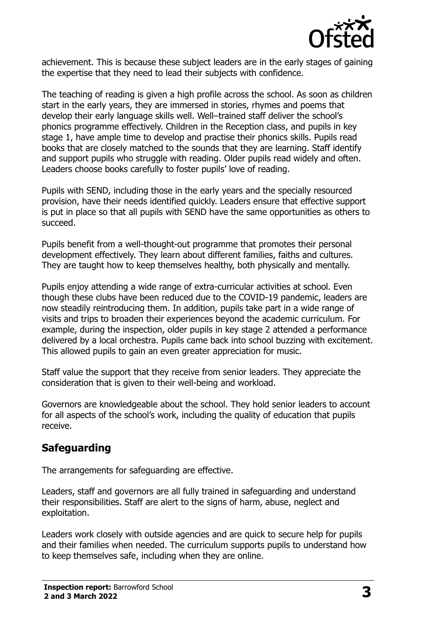

achievement. This is because these subject leaders are in the early stages of gaining the expertise that they need to lead their subjects with confidence.

The teaching of reading is given a high profile across the school. As soon as children start in the early years, they are immersed in stories, rhymes and poems that develop their early language skills well. Well–trained staff deliver the school's phonics programme effectively. Children in the Reception class, and pupils in key stage 1, have ample time to develop and practise their phonics skills. Pupils read books that are closely matched to the sounds that they are learning. Staff identify and support pupils who struggle with reading. Older pupils read widely and often. Leaders choose books carefully to foster pupils' love of reading.

Pupils with SEND, including those in the early years and the specially resourced provision, have their needs identified quickly. Leaders ensure that effective support is put in place so that all pupils with SEND have the same opportunities as others to succeed.

Pupils benefit from a well-thought-out programme that promotes their personal development effectively. They learn about different families, faiths and cultures. They are taught how to keep themselves healthy, both physically and mentally.

Pupils enjoy attending a wide range of extra-curricular activities at school. Even though these clubs have been reduced due to the COVID-19 pandemic, leaders are now steadily reintroducing them. In addition, pupils take part in a wide range of visits and trips to broaden their experiences beyond the academic curriculum. For example, during the inspection, older pupils in key stage 2 attended a performance delivered by a local orchestra. Pupils came back into school buzzing with excitement. This allowed pupils to gain an even greater appreciation for music.

Staff value the support that they receive from senior leaders. They appreciate the consideration that is given to their well-being and workload.

Governors are knowledgeable about the school. They hold senior leaders to account for all aspects of the school's work, including the quality of education that pupils receive.

# **Safeguarding**

The arrangements for safeguarding are effective.

Leaders, staff and governors are all fully trained in safeguarding and understand their responsibilities. Staff are alert to the signs of harm, abuse, neglect and exploitation.

Leaders work closely with outside agencies and are quick to secure help for pupils and their families when needed. The curriculum supports pupils to understand how to keep themselves safe, including when they are online.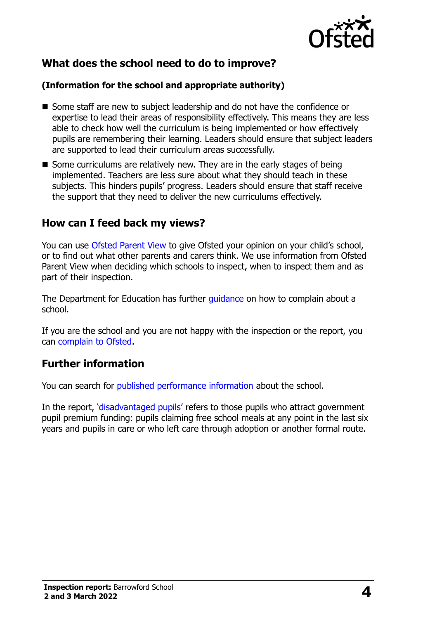

# **What does the school need to do to improve?**

#### **(Information for the school and appropriate authority)**

- Some staff are new to subject leadership and do not have the confidence or expertise to lead their areas of responsibility effectively. This means they are less able to check how well the curriculum is being implemented or how effectively pupils are remembering their learning. Leaders should ensure that subject leaders are supported to lead their curriculum areas successfully.
- Some curriculums are relatively new. They are in the early stages of being implemented. Teachers are less sure about what they should teach in these subjects. This hinders pupils' progress. Leaders should ensure that staff receive the support that they need to deliver the new curriculums effectively.

### **How can I feed back my views?**

You can use [Ofsted Parent View](http://parentview.ofsted.gov.uk/) to give Ofsted your opinion on your child's school, or to find out what other parents and carers think. We use information from Ofsted Parent View when deciding which schools to inspect, when to inspect them and as part of their inspection.

The Department for Education has further quidance on how to complain about a school.

If you are the school and you are not happy with the inspection or the report, you can [complain to Ofsted.](http://www.gov.uk/complain-ofsted-report)

# **Further information**

You can search for [published performance information](http://www.compare-school-performance.service.gov.uk/) about the school.

In the report, '[disadvantaged pupils](http://www.gov.uk/guidance/pupil-premium-information-for-schools-and-alternative-provision-settings)' refers to those pupils who attract government pupil premium funding: pupils claiming free school meals at any point in the last six years and pupils in care or who left care through adoption or another formal route.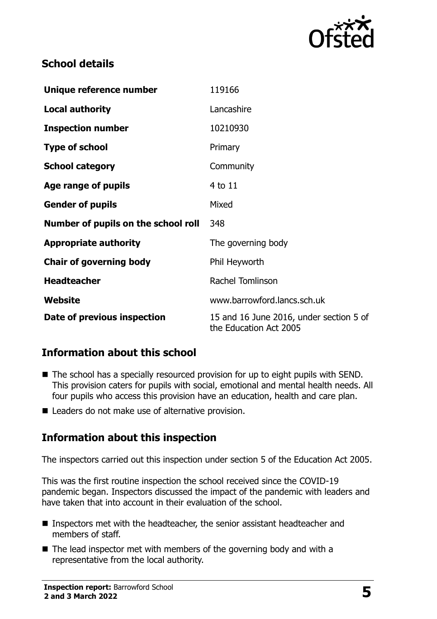

# **School details**

| Unique reference number             | 119166                                                            |  |
|-------------------------------------|-------------------------------------------------------------------|--|
| <b>Local authority</b>              | Lancashire                                                        |  |
| <b>Inspection number</b>            | 10210930                                                          |  |
| <b>Type of school</b>               | Primary                                                           |  |
| <b>School category</b>              | Community                                                         |  |
| Age range of pupils                 | 4 to 11                                                           |  |
| <b>Gender of pupils</b>             | Mixed                                                             |  |
| Number of pupils on the school roll | 348                                                               |  |
| <b>Appropriate authority</b>        | The governing body                                                |  |
| <b>Chair of governing body</b>      | Phil Heyworth                                                     |  |
| <b>Headteacher</b>                  | <b>Rachel Tomlinson</b>                                           |  |
| Website                             | www.barrowford.lancs.sch.uk                                       |  |
| Date of previous inspection         | 15 and 16 June 2016, under section 5 of<br>the Education Act 2005 |  |

# **Information about this school**

- The school has a specially resourced provision for up to eight pupils with SEND. This provision caters for pupils with social, emotional and mental health needs. All four pupils who access this provision have an education, health and care plan.
- Leaders do not make use of alternative provision.

# **Information about this inspection**

The inspectors carried out this inspection under section 5 of the Education Act 2005.

This was the first routine inspection the school received since the COVID-19 pandemic began. Inspectors discussed the impact of the pandemic with leaders and have taken that into account in their evaluation of the school.

- Inspectors met with the headteacher, the senior assistant headteacher and members of staff.
- $\blacksquare$  The lead inspector met with members of the governing body and with a representative from the local authority.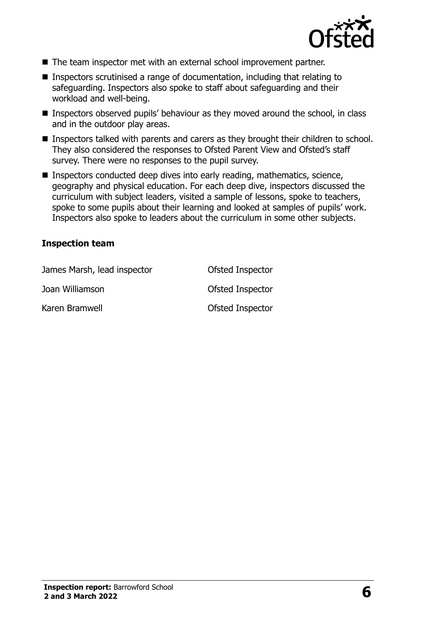

- The team inspector met with an external school improvement partner.
- Inspectors scrutinised a range of documentation, including that relating to safeguarding. Inspectors also spoke to staff about safeguarding and their workload and well-being.
- Inspectors observed pupils' behaviour as they moved around the school, in class and in the outdoor play areas.
- **Inspectors talked with parents and carers as they brought their children to school.** They also considered the responses to Ofsted Parent View and Ofsted's staff survey. There were no responses to the pupil survey.
- Inspectors conducted deep dives into early reading, mathematics, science, geography and physical education. For each deep dive, inspectors discussed the curriculum with subject leaders, visited a sample of lessons, spoke to teachers, spoke to some pupils about their learning and looked at samples of pupils' work. Inspectors also spoke to leaders about the curriculum in some other subjects.

#### **Inspection team**

| James Marsh, lead inspector | Ofsted Inspector |
|-----------------------------|------------------|
| Joan Williamson             | Ofsted Inspector |
| Karen Bramwell              | Ofsted Inspector |